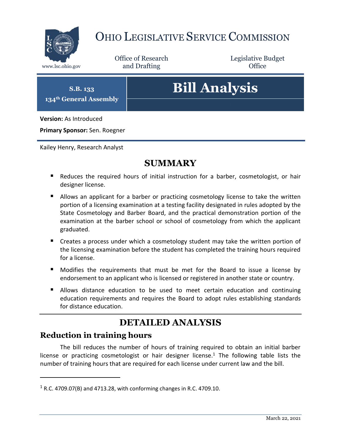

## OHIO LEGISLATIVE SERVICE COMMISSION

Office of Research www.lsc.ohio.gov **and Drafting Office** 

Legislative Budget

**S.B. 133 134th General Assembly**

# **Bill Analysis**

**Version:** As Introduced

**Primary Sponsor:** Sen. Roegner

Kailey Henry, Research Analyst

### **SUMMARY**

- Reduces the required hours of initial instruction for a barber, cosmetologist, or hair designer license.
- **Allows an applicant for a barber or practicing cosmetology license to take the written** portion of a licensing examination at a testing facility designated in rules adopted by the State Cosmetology and Barber Board, and the practical demonstration portion of the examination at the barber school or school of cosmetology from which the applicant graduated.
- Creates a process under which a cosmetology student may take the written portion of the licensing examination before the student has completed the training hours required for a license.
- Modifies the requirements that must be met for the Board to issue a license by endorsement to an applicant who is licensed or registered in another state or country.
- Allows distance education to be used to meet certain education and continuing education requirements and requires the Board to adopt rules establishing standards for distance education.

## **DETAILED ANALYSIS**

#### **Reduction in training hours**

 $\overline{a}$ 

The bill reduces the number of hours of training required to obtain an initial barber license or practicing cosmetologist or hair designer license.<sup>1</sup> The following table lists the number of training hours that are required for each license under current law and the bill.

<sup>&</sup>lt;sup>1</sup> R.C. 4709.07(B) and 4713.28, with conforming changes in R.C. 4709.10.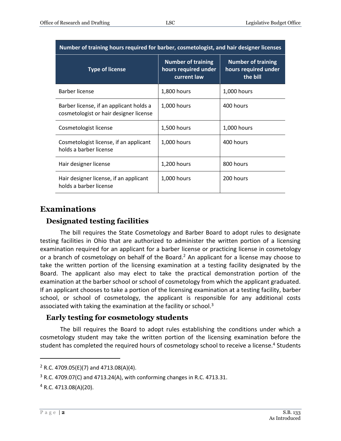| Number of training hours required for barber, cosmetologist, and hair designer licenses |                                                                  |                                                               |
|-----------------------------------------------------------------------------------------|------------------------------------------------------------------|---------------------------------------------------------------|
| <b>Type of license</b>                                                                  | <b>Number of training</b><br>hours required under<br>current law | <b>Number of training</b><br>hours required under<br>the bill |
| <b>Barber license</b>                                                                   | 1,800 hours                                                      | 1,000 hours                                                   |
| Barber license, if an applicant holds a<br>cosmetologist or hair designer license       | 1,000 hours                                                      | 400 hours                                                     |
| Cosmetologist license                                                                   | 1,500 hours                                                      | 1,000 hours                                                   |
| Cosmetologist license, if an applicant<br>holds a barber license                        | 1,000 hours                                                      | 400 hours                                                     |
| Hair designer license                                                                   | 1,200 hours                                                      | 800 hours                                                     |
| Hair designer license, if an applicant<br>holds a barber license                        | 1,000 hours                                                      | 200 hours                                                     |

#### **Examinations**

#### **Designated testing facilities**

The bill requires the State Cosmetology and Barber Board to adopt rules to designate testing facilities in Ohio that are authorized to administer the written portion of a licensing examination required for an applicant for a barber license or practicing license in cosmetology or a branch of cosmetology on behalf of the Board.<sup>2</sup> An applicant for a license may choose to take the written portion of the licensing examination at a testing facility designated by the Board. The applicant also may elect to take the practical demonstration portion of the examination at the barber school or school of cosmetology from which the applicant graduated. If an applicant chooses to take a portion of the licensing examination at a testing facility, barber school, or school of cosmetology, the applicant is responsible for any additional costs associated with taking the examination at the facility or school. $3$ 

#### **Early testing for cosmetology students**

The bill requires the Board to adopt rules establishing the conditions under which a cosmetology student may take the written portion of the licensing examination before the student has completed the required hours of cosmetology school to receive a license.<sup>4</sup> Students

 $\overline{a}$ 

 $2$  R.C. 4709.05(E)(7) and 4713.08(A)(4).

 $3$  R.C. 4709.07(C) and 4713.24(A), with conforming changes in R.C. 4713.31.

 $4$  R.C. 4713.08(A)(20).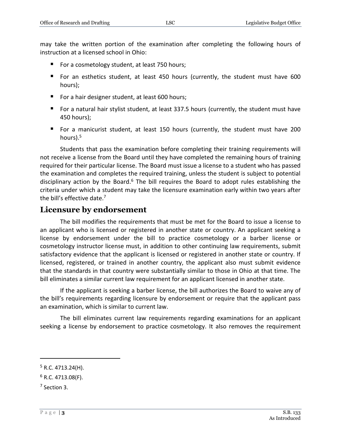may take the written portion of the examination after completing the following hours of instruction at a licensed school in Ohio:

- For a cosmetology student, at least 750 hours;
- For an esthetics student, at least 450 hours (currently, the student must have 600 hours);
- For a hair designer student, at least 600 hours;
- For a natural hair stylist student, at least 337.5 hours (currently, the student must have 450 hours);
- For a manicurist student, at least 150 hours (currently, the student must have 200 hours). 5

Students that pass the examination before completing their training requirements will not receive a license from the Board until they have completed the remaining hours of training required for their particular license. The Board must issue a license to a student who has passed the examination and completes the required training, unless the student is subject to potential disciplinary action by the Board.<sup>6</sup> The bill requires the Board to adopt rules establishing the criteria under which a student may take the licensure examination early within two years after the bill's effective date.<sup>7</sup>

#### **Licensure by endorsement**

The bill modifies the requirements that must be met for the Board to issue a license to an applicant who is licensed or registered in another state or country. An applicant seeking a license by endorsement under the bill to practice cosmetology or a barber license or cosmetology instructor license must, in addition to other continuing law requirements, submit satisfactory evidence that the applicant is licensed or registered in another state or country. If licensed, registered, or trained in another country, the applicant also must submit evidence that the standards in that country were substantially similar to those in Ohio at that time. The bill eliminates a similar current law requirement for an applicant licensed in another state.

If the applicant is seeking a barber license, the bill authorizes the Board to waive any of the bill's requirements regarding licensure by endorsement or require that the applicant pass an examination, which is similar to current law.

The bill eliminates current law requirements regarding examinations for an applicant seeking a license by endorsement to practice cosmetology. It also removes the requirement

7 Section 3.

 $\overline{a}$ 

 $5$  R.C. 4713.24(H).

 $6$  R.C. 4713.08(F).